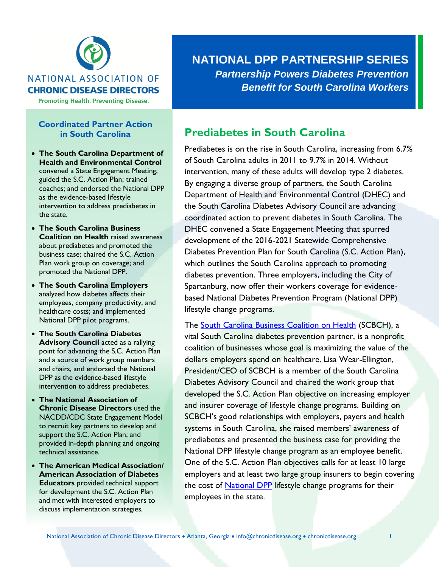

#### **NATIONAL ASSOCIATION OF CHRONIC DISEASE DIRECTORS**

**Promoting Health. Preventing Disease.** 

## **Coordinated Partner Action in South Carolina**

- **The South Carolina Department of Health and Environmental Control**  convened a State Engagement Meeting; guided the S.C. Action Plan; trained coaches; and endorsed the National DPP as the evidence-based lifestyle intervention to address prediabetes in the state.
- **The South Carolina Business Coalition on Health** raised awareness about prediabetes and promoted the business case; chaired the S.C. Action Plan work group on coverage; and promoted the National DPP.
- **The South Carolina Employers**  analyzed how diabetes affects their employees, company productivity, and healthcare costs; and implemented National DPP pilot programs.
- **The South Carolina Diabetes Advisory Council** acted as a rallying point for advancing the S.C. Action Plan and a source of work group members and chairs, and endorsed the National DPP as the evidence-based lifestyle intervention to address prediabetes.
- **The National Association of Chronic Disease Directors** used the NACDD/CDC State Engagement Model to recruit key partners to develop and support the S.C. Action Plan; and provided in-depth planning and ongoing technical assistance.
- **The American Medical Association/ American Association of Diabetes Educators** provided technical support for development the S.C. Action Plan and met with interested employers to discuss implementation strategies.

**NATIONAL DPP PARTNERSHIP SERIES** *Partnership Powers Diabetes Prevention Benefit for South Carolina Workers*

## **Prediabetes in South Carolina**

Prediabetes is on the rise in South Carolina, increasing from 6.7% of South Carolina adults in 2011 to 9.7% in 2014. Without intervention, many of these adults will develop type 2 diabetes. By engaging a diverse group of partners, the South Carolina Department of Health and Environmental Control (DHEC) and the South Carolina Diabetes Advisory Council are advancing coordinated action to prevent diabetes in South Carolina. The DHEC convened a State Engagement Meeting that spurred development of the 2016-2021 Statewide Comprehensive Diabetes Prevention Plan for South Carolina (S.C. Action Plan), which outlines the South Carolina approach to promoting diabetes prevention. Three employers, including the City of Spartanburg, now offer their workers coverage for evidencebased National Diabetes Prevention Program (National DPP) lifestyle change programs.

The **South Carolina Business Coalition on Health** (SCBCH), a vital South Carolina diabetes prevention partner, is a nonprofit coalition of businesses whose goal is maximizing the value of the dollars employers spend on healthcare. Lisa Wear-Ellington, President/CEO of SCBCH is a member of the South Carolina Diabetes Advisory Council and chaired the work group that developed the S.C. Action Plan objective on increasing employer and insurer coverage of lifestyle change programs. Building on SCBCH's good relationships with employers, payers and health systems in South Carolina, she raised members' awareness of prediabetes and presented the business case for providing the National DPP lifestyle change program as an employee benefit. One of the S.C. Action Plan objectives calls for at least 10 large employers and at least two large group insurers to begin covering the cost of [National DPP](https://www.cdc.gov/diabetes/prevention/index.html) lifestyle change programs for their employees in the state.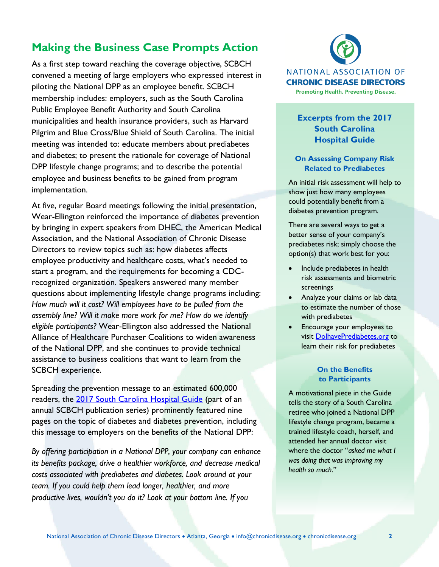# **Making the Business Case Prompts Action**

As a first step toward reaching the coverage objective, SCBCH convened a meeting of large employers who expressed interest in piloting the National DPP as an employee benefit. SCBCH membership includes: employers, such as the South Carolina Public Employee Benefit Authority and South Carolina municipalities and health insurance providers, such as Harvard Pilgrim and Blue Cross/Blue Shield of South Carolina. The initial meeting was intended to: educate members about prediabetes and diabetes; to present the rationale for coverage of National DPP lifestyle change programs; and to describe the potential employee and business benefits to be gained from program implementation.

At five, regular Board meetings following the initial presentation, Wear-Ellington reinforced the importance of diabetes prevention by bringing in expert speakers from DHEC, the American Medical Association, and the National Association of Chronic Disease Directors to review topics such as: how diabetes affects employee productivity and healthcare costs, what's needed to start a program, and the requirements for becoming a CDCrecognized organization. Speakers answered many member questions about implementing lifestyle change programs including: *How much will it cost? Will employees have to be pulled from the assembly line? Will it make more work for me? How do we identify eligible participants?* Wear-Ellington also addressed the National Alliance of Healthcare Purchaser Coalitions to widen awareness of the National DPP, and she continues to provide technical assistance to business coalitions that want to learn from the SCBCH experience.

Spreading the prevention message to an estimated 600,000 readers, the [2017 South Carolina Hospital Guide](http://scbch.org/sbch-services/hospital-quality-guide/) (part of an annual SCBCH publication series) prominently featured nine pages on the topic of diabetes and diabetes prevention, including this message to employers on the benefits of the National DPP:

*By offering participation in a National DPP, your company can enhance its benefits package, drive a healthier workforce, and decrease medical costs associated with prediabetes and diabetes. Look around at your team. If you could help them lead longer, healthier, and more productive lives, wouldn't you do it? Look at your bottom line. If you* 



## **Excerpts from the 2017 South Carolina Hospital Guide**

#### **On Assessing Company Risk Related to Prediabetes**

An initial risk assessment will help to show just how many employees could potentially benefit from a diabetes prevention program.

There are several ways to get a better sense of your company's prediabetes risk; simply choose the option(s) that work best for you:

- Include prediabetes in health risk assessments and biometric screenings
- Analyze your claims or lab data to estimate the number of those with prediabetes
- Encourage your employees to visit [DoIhavePrediabetes.org](file:///C:/Users/Barbara/AppData/Local/Microsoft/Windows/INetCache/Content.Outlook/2IP1SYZC/DoIhavePrediabetes.org) to learn their risk for prediabetes

#### **On the Benefits to Participants**

A motivational piece in the Guide tells the story of a South Carolina retiree who joined a National DPP lifestyle change program, became a trained lifestyle coach, herself, and attended her annual doctor visit where the doctor "*asked me what I was doing that was improving my health so much.*"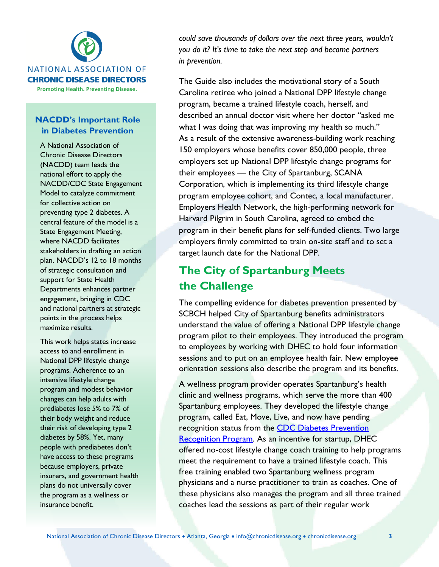

**Promoting Health. Preventing Disease.** 

## **NACDD's Important Role in Diabetes Prevention**

A National Association of Chronic Disease Directors (NACDD) team leads the national effort to apply the NACDD/CDC State Engagement Model to catalyze commitment for collective action on preventing type 2 diabetes. A central feature of the model is a State Engagement Meeting, where NACDD facilitates stakeholders in drafting an action plan. NACDD's 12 to 18 months of strategic consultation and support for State Health Departments enhances partner engagement, bringing in CDC and national partners at strategic points in the process helps maximize results.

This work helps states increase access to and enrollment in National DPP lifestyle change programs. Adherence to an intensive lifestyle change program and modest behavior changes can help adults with prediabetes lose 5% to 7% of their body weight and reduce their risk of developing type 2 diabetes by 58%. Yet, many people with prediabetes don't have access to these programs because employers, private insurers, and government health plans do not universally cover the program as a wellness or insurance benefit.

*could save thousands of dollars over the next three years, wouldn't you do it? It's time to take the next step and become partners in prevention.*

The Guide also includes the motivational story of a South Carolina retiree who joined a National DPP lifestyle change program, became a trained lifestyle coach, herself, and described an annual doctor visit where her doctor "asked me what I was doing that was improving my health so much." As a result of the extensive awareness-building work reaching 150 employers whose benefits cover 850,000 people, three employers set up National DPP lifestyle change programs for their employees — the City of Spartanburg, SCANA Corporation, which is implementing its third lifestyle change program employee cohort, and Contec, a local manufacturer. Employers Health Network, the high-performing network for Harvard Pilgrim in South Carolina, agreed to embed the program in their benefit plans for self-funded clients. Two large employers firmly committed to train on-site staff and to set a target launch date for the National DPP.

# **The City of Spartanburg Meets the Challenge**

The compelling evidence for diabetes prevention presented by SCBCH helped City of Spartanburg benefits administrators understand the value of offering a National DPP lifestyle change program pilot to their employees. They introduced the program to employees by working with DHEC to hold four information sessions and to put on an employee health fair. New employee orientation sessions also describe the program and its benefits.

A wellness program provider operates Spartanburg's health clinic and wellness programs, which serve the more than 400 Spartanburg employees. They developed the lifestyle change program, called Eat, Move, Live, and now have pending recognition status from the [CDC Diabetes Prevention](https://nccd.cdc.gov/DDT_DPRP/Registry.aspx)  [Recognition Program.](https://nccd.cdc.gov/DDT_DPRP/Registry.aspx) As an incentive for startup, DHEC offered no-cost lifestyle change coach training to help programs meet the requirement to have a trained lifestyle coach. This free training enabled two Spartanburg wellness program physicians and a nurse practitioner to train as coaches. One of these physicians also manages the program and all three trained coaches lead the sessions as part of their regular work